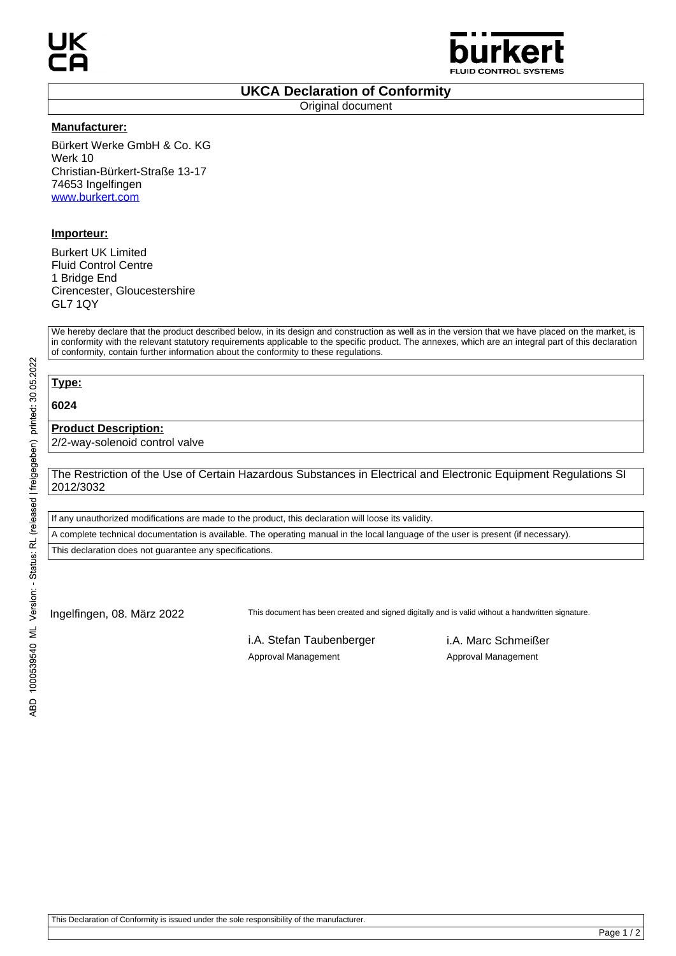

### **UKCA Declaration of Conformity**

Original document

#### **Manufacturer:**

Bürkert Werke GmbH & Co. KG Werk 10 Christian-Bürkert-Straße 13-17 74653 Ingelfingen www.burkert.com

## **Importeur:**

Burkert UK Limited Fluid Control Centre 1 Bridge End Cirencester, Gloucestershire GL7 1QY

We hereby declare that the product described below, in its design and construction as well as in the version that we have placed on the market, is in conformity with the relevant statutory requirements applicable to the specific product. The annexes, which are an integral part of this declaration of conformity, contain further information about the conformity to these regulations.

# **Type:**

**6024**

### **Product Description:**

2/2-way-solenoid control valve

The Restriction of the Use of Certain Hazardous Substances in Electrical and Electronic Equipment Regulations SI 2012/3032

If any unauthorized modifications are made to the product, this declaration will loose its validity.

A complete technical documentation is available. The operating manual in the local language of the user is present (if necessary).

This declaration does not guarantee any specifications.

Ingelfingen, 08. März 2022 This document has been created and signed digitally and is valid without a handwritten signature.

i.A. Stefan Taubenberger i.A. Marc Schmeißer Approval Management Approval Management